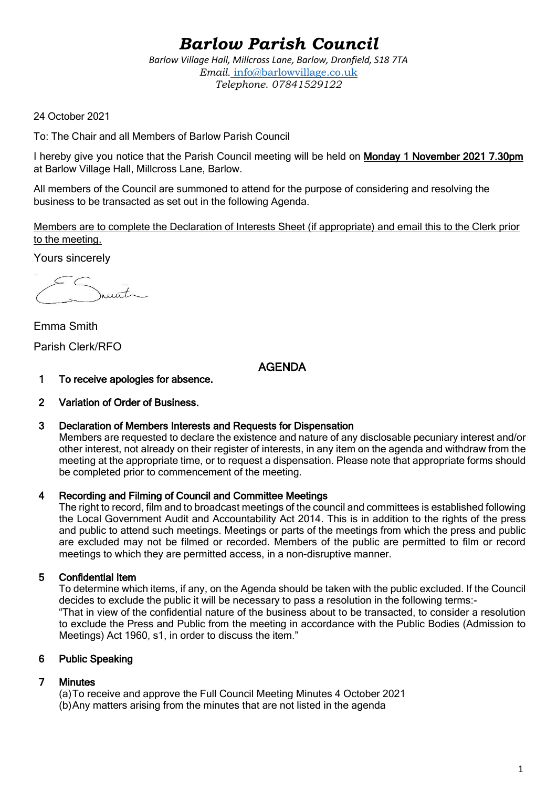# *Barlow Parish Council*

*Barlow Village Hall, Millcross Lane, Barlow, Dronfield, S18 7TA Email.* info@barlowvillage.co.uk *Telephone. 07841529122*

24 October 2021

To: The Chair and all Members of Barlow Parish Council

I hereby give you notice that the Parish Council meeting will be held on Monday 1 November 2021 7.30pm at Barlow Village Hall, Millcross Lane, Barlow.

All members of the Council are summoned to attend for the purpose of considering and resolving the business to be transacted as set out in the following Agenda.

Members are to complete the Declaration of Interests Sheet (if appropriate) and email this to the Clerk prior to the meeting.

Yours sincerely

munt

Emma Smith Parish Clerk/RFO

AGENDA

- 1 To receive apologies for absence.
- 2 Variation of Order of Business.
- 3 Declaration of Members Interests and Requests for Dispensation

Members are requested to declare the existence and nature of any disclosable pecuniary interest and/or other interest, not already on their register of interests, in any item on the agenda and withdraw from the meeting at the appropriate time, or to request a dispensation. Please note that appropriate forms should be completed prior to commencement of the meeting.

### 4 Recording and Filming of Council and Committee Meetings

The right to record, film and to broadcast meetings of the council and committees is established following the Local Government Audit and Accountability Act 2014. This is in addition to the rights of the press and public to attend such meetings. Meetings or parts of the meetings from which the press and public are excluded may not be filmed or recorded. Members of the public are permitted to film or record meetings to which they are permitted access, in a non-disruptive manner.

# 5 Confidential Item

To determine which items, if any, on the Agenda should be taken with the public excluded. If the Council decides to exclude the public it will be necessary to pass a resolution in the following terms:- "That in view of the confidential nature of the business about to be transacted, to consider a resolution to exclude the Press and Public from the meeting in accordance with the Public Bodies (Admission to Meetings) Act 1960, s1, in order to discuss the item."

### 6 Public Speaking

# 7 Minutes

(a)To receive and approve the Full Council Meeting Minutes 4 October 2021 (b)Any matters arising from the minutes that are not listed in the agenda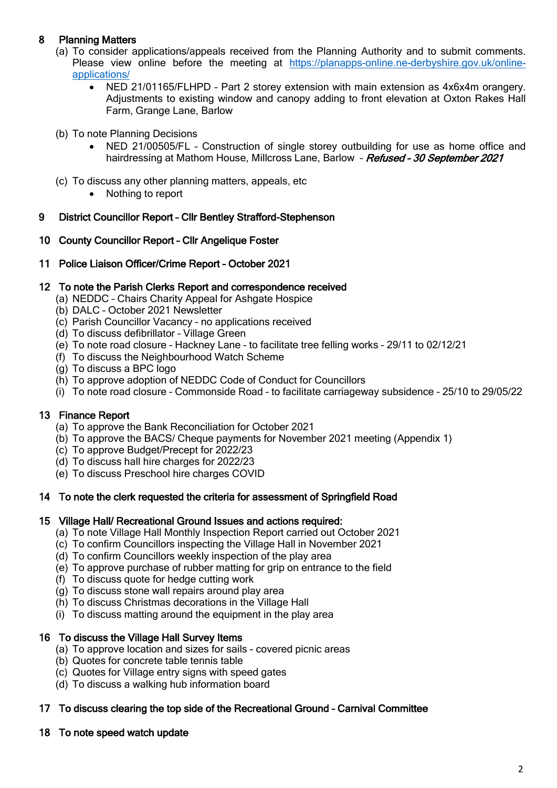# 8 Planning Matters

- (a) To consider applications/appeals received from the Planning Authority and to submit comments. Please view online before the meeting at [https://planapps-online.ne-derbyshire.gov.uk/online](https://planapps-online.ne-derbyshire.gov.uk/online-applications/)[applications/](https://planapps-online.ne-derbyshire.gov.uk/online-applications/)
	- NED 21/01165/FLHPD Part 2 storey extension with main extension as 4x6x4m orangery. Adjustments to existing window and canopy adding to front elevation at Oxton Rakes Hall Farm, Grange Lane, Barlow
- (b) To note Planning Decisions
	- NED 21/00505/FL Construction of single storey outbuilding for use as home office and hairdressing at Mathom House, Millcross Lane, Barlow - Refused - 30 September 2021
- (c) To discuss any other planning matters, appeals, etc
	- Nothing to report

## 9 District Councillor Report – Cllr Bentley Strafford-Stephenson

## 10 County Councillor Report – Cllr Angelique Foster

11 Police Liaison Officer/Crime Report – October 2021

## 12 To note the Parish Clerks Report and correspondence received

- (a) NEDDC Chairs Charity Appeal for Ashgate Hospice
- (b) DALC October 2021 Newsletter
- (c) Parish Councillor Vacancy no applications received
- (d) To discuss defibrillator Village Green
- (e) To note road closure Hackney Lane to facilitate tree felling works 29/11 to 02/12/21
- (f) To discuss the Neighbourhood Watch Scheme
- (g) To discuss a BPC logo
- (h) To approve adoption of NEDDC Code of Conduct for Councillors
- (i) To note road closure Commonside Road to facilitate carriageway subsidence 25/10 to 29/05/22

# 13 Finance Report

- (a) To approve the Bank Reconciliation for October 2021
- (b) To approve the BACS/ Cheque payments for November 2021 meeting (Appendix 1)
- (c) To approve Budget/Precept for 2022/23
- (d) To discuss hall hire charges for 2022/23
- (e) To discuss Preschool hire charges COVID

### 14 To note the clerk requested the criteria for assessment of Springfield Road

### 15 Village Hall/ Recreational Ground Issues and actions required:

- (a) To note Village Hall Monthly Inspection Report carried out October 2021
- (c) To confirm Councillors inspecting the Village Hall in November 2021
- (d) To confirm Councillors weekly inspection of the play area
- (e) To approve purchase of rubber matting for grip on entrance to the field
- (f) To discuss quote for hedge cutting work
- (g) To discuss stone wall repairs around play area
- (h) To discuss Christmas decorations in the Village Hall
- $(i)$  To discuss matting around the equipment in the play area

# 16 To discuss the Village Hall Survey Items

- (a) To approve location and sizes for sails covered picnic areas
- (b) Quotes for concrete table tennis table
- (c) Quotes for Village entry signs with speed gates
- (d) To discuss a walking hub information board

# 17 To discuss clearing the top side of the Recreational Ground – Carnival Committee

# 18 To note speed watch update